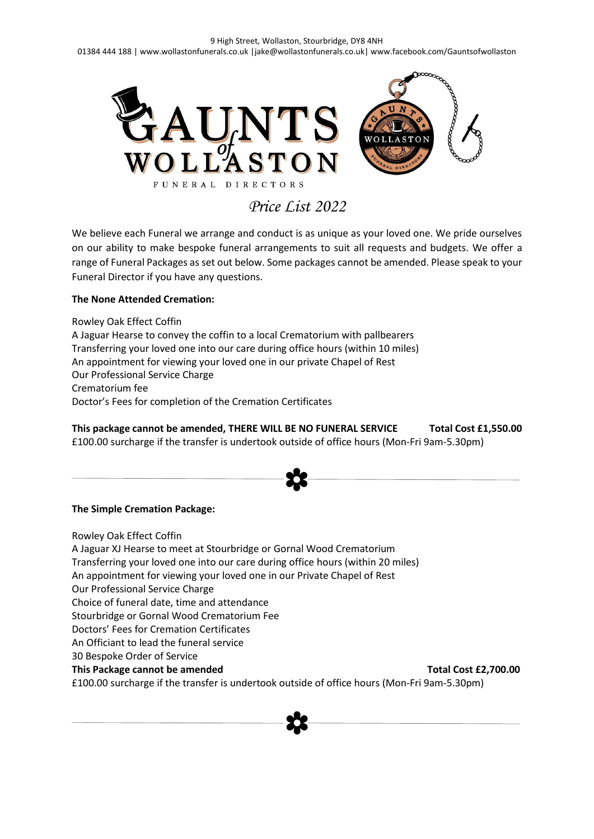

*Price List 2022*

We believe each Funeral we arrange and conduct is as unique as your loved one. We pride ourselves on our ability to make bespoke funeral arrangements to suit all requests and budgets. We offer a range of Funeral Packages as set out below. Some packages cannot be amended. Please speak to your Funeral Director if you have any questions.

## **The None Attended Cremation:**

Rowley Oak Effect Coffin A Jaguar Hearse to convey the coffin to a local Crematorium with pallbearers Transferring your loved one into our care during office hours (within 10 miles) An appointment for viewing your loved one in our private Chapel of Rest Our Professional Service Charge Crematorium fee Doctor's Fees for completion of the Cremation Certificates

**This package cannot be amended, THERE WILL BE NO FUNERAL SERVICE Total Cost £1,550.00** £100.00 surcharge if the transfer is undertook outside of office hours (Mon-Fri 9am-5.30pm)

## **The Simple Cremation Package:**

Rowley Oak Effect Coffin A Jaguar XJ Hearse to meet at Stourbridge or Gornal Wood Crematorium Transferring your loved one into our care during office hours (within 20 miles) An appointment for viewing your loved one in our Private Chapel of Rest Our Professional Service Charge Choice of funeral date, time and attendance Stourbridge or Gornal Wood Crematorium Fee Doctors' Fees for Cremation Certificates An Officiant to lead the funeral service 30 Bespoke Order of Service **This Package cannot be amended Total Cost £2,700.00 Total Cost £2,700.00** £100.00 surcharge if the transfer is undertook outside of office hours (Mon-Fri 9am-5.30pm)

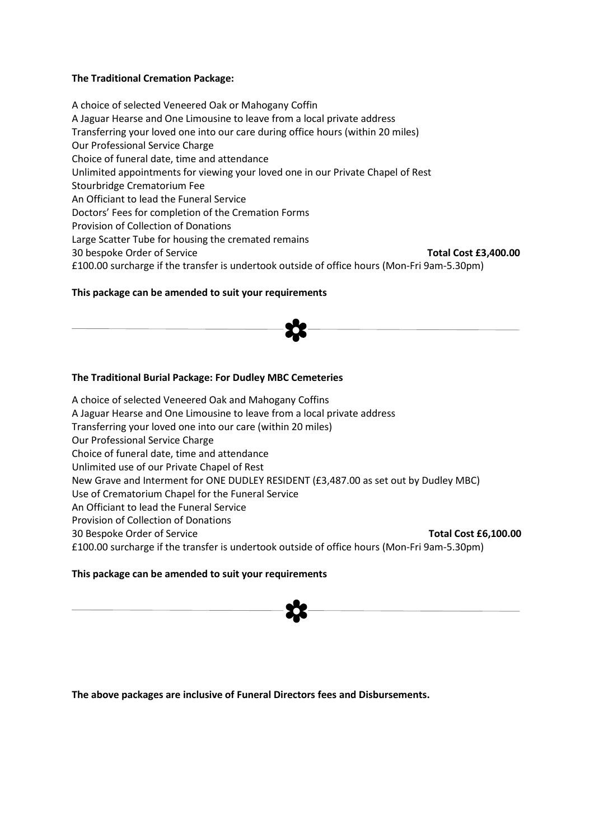## **The Traditional Cremation Package:**

A choice of selected Veneered Oak or Mahogany Coffin A Jaguar Hearse and One Limousine to leave from a local private address Transferring your loved one into our care during office hours (within 20 miles) Our Professional Service Charge Choice of funeral date, time and attendance Unlimited appointments for viewing your loved one in our Private Chapel of Rest Stourbridge Crematorium Fee An Officiant to lead the Funeral Service Doctors' Fees for completion of the Cremation Forms Provision of Collection of Donations Large Scatter Tube for housing the cremated remains 30 bespoke Order of Service **Total Cost £3,400.00** £100.00 surcharge if the transfer is undertook outside of office hours (Mon-Fri 9am-5.30pm)

## **This package can be amended to suit your requirements**



## **The Traditional Burial Package: For Dudley MBC Cemeteries**

A choice of selected Veneered Oak and Mahogany Coffins A Jaguar Hearse and One Limousine to leave from a local private address Transferring your loved one into our care (within 20 miles) Our Professional Service Charge Choice of funeral date, time and attendance Unlimited use of our Private Chapel of Rest New Grave and Interment for ONE DUDLEY RESIDENT (£3,487.00 as set out by Dudley MBC) Use of Crematorium Chapel for the Funeral Service An Officiant to lead the Funeral Service Provision of Collection of Donations 30 Bespoke Order of Service **Total Cost £6,100.00** £100.00 surcharge if the transfer is undertook outside of office hours (Mon-Fri 9am-5.30pm)

## **This package can be amended to suit your requirements**



**The above packages are inclusive of Funeral Directors fees and Disbursements.**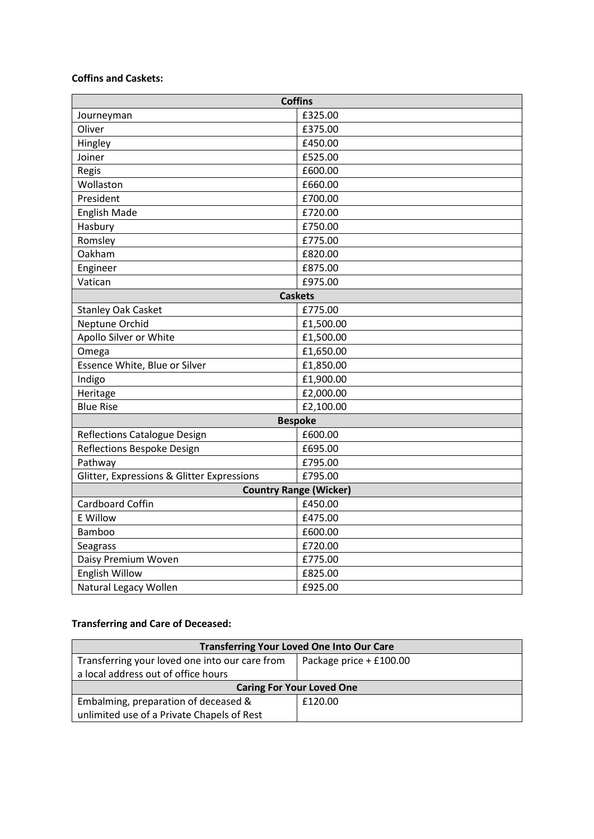## **Coffins and Caskets:**

| <b>Coffins</b>                             |                |  |  |
|--------------------------------------------|----------------|--|--|
| Journeyman                                 | £325.00        |  |  |
| Oliver                                     | £375.00        |  |  |
| Hingley                                    | £450.00        |  |  |
| Joiner                                     | £525.00        |  |  |
| Regis                                      | £600.00        |  |  |
| Wollaston                                  | £660.00        |  |  |
| President                                  | £700.00        |  |  |
| <b>English Made</b>                        | £720.00        |  |  |
| Hasbury                                    | £750.00        |  |  |
| Romsley                                    | £775.00        |  |  |
| Oakham                                     | £820.00        |  |  |
| Engineer                                   | £875.00        |  |  |
| Vatican                                    | £975.00        |  |  |
|                                            | <b>Caskets</b> |  |  |
| <b>Stanley Oak Casket</b>                  | £775.00        |  |  |
| Neptune Orchid                             | £1,500.00      |  |  |
| Apollo Silver or White                     | £1,500.00      |  |  |
| Omega                                      | £1,650.00      |  |  |
| Essence White, Blue or Silver              | £1,850.00      |  |  |
| Indigo                                     | £1,900.00      |  |  |
| Heritage                                   | £2,000.00      |  |  |
| <b>Blue Rise</b>                           | £2,100.00      |  |  |
| <b>Bespoke</b>                             |                |  |  |
| Reflections Catalogue Design               | £600.00        |  |  |
| Reflections Bespoke Design                 | £695.00        |  |  |
| Pathway                                    | £795.00        |  |  |
| Glitter, Expressions & Glitter Expressions | £795.00        |  |  |
| <b>Country Range (Wicker)</b>              |                |  |  |
| Cardboard Coffin                           | £450.00        |  |  |
| <b>E</b> Willow                            | £475.00        |  |  |
| <b>Bamboo</b>                              | £600.00        |  |  |
| Seagrass                                   | £720.00        |  |  |
| Daisy Premium Woven                        | £775.00        |  |  |
| <b>English Willow</b>                      | £825.00        |  |  |
| Natural Legacy Wollen                      | £925.00        |  |  |

## **Transferring and Care of Deceased:**

| <b>Transferring Your Loved One Into Our Care</b> |                         |  |  |
|--------------------------------------------------|-------------------------|--|--|
| Transferring your loved one into our care from   | Package price + £100.00 |  |  |
| a local address out of office hours              |                         |  |  |
| <b>Caring For Your Loved One</b>                 |                         |  |  |
| Embalming, preparation of deceased &             | £120.00                 |  |  |
| unlimited use of a Private Chapels of Rest       |                         |  |  |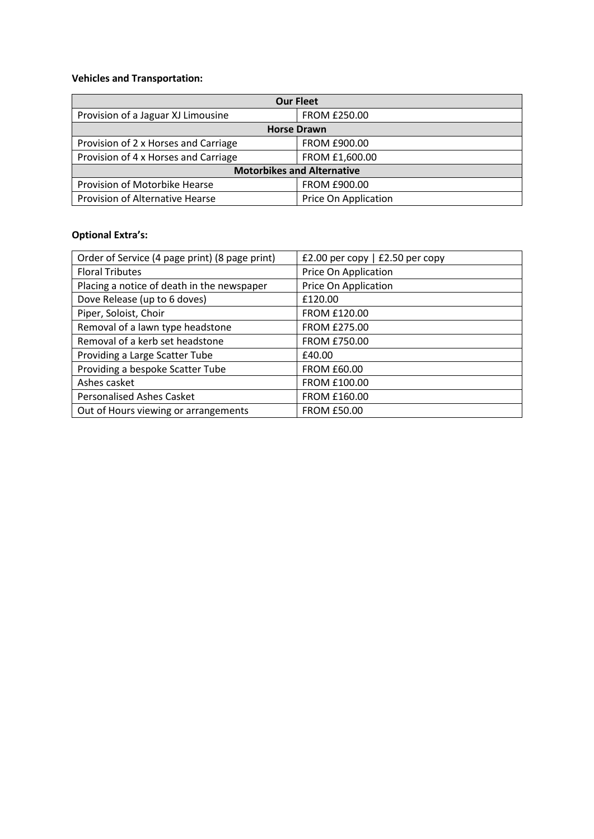## **Vehicles and Transportation:**

| <b>Our Fleet</b>                     |                      |  |
|--------------------------------------|----------------------|--|
| Provision of a Jaguar XJ Limousine   | <b>FROM £250.00</b>  |  |
| <b>Horse Drawn</b>                   |                      |  |
| Provision of 2 x Horses and Carriage | FROM £900.00         |  |
| Provision of 4 x Horses and Carriage | FROM £1,600.00       |  |
| <b>Motorbikes and Alternative</b>    |                      |  |
| Provision of Motorbike Hearse        | FROM £900.00         |  |
| Provision of Alternative Hearse      | Price On Application |  |

## **Optional Extra's:**

| Order of Service (4 page print) (8 page print) | £2.00 per copy $\vert$ £2.50 per copy |
|------------------------------------------------|---------------------------------------|
| <b>Floral Tributes</b>                         | Price On Application                  |
| Placing a notice of death in the newspaper     | Price On Application                  |
| Dove Release (up to 6 doves)                   | £120.00                               |
| Piper, Soloist, Choir                          | <b>FROM £120.00</b>                   |
| Removal of a lawn type headstone               | <b>FROM £275.00</b>                   |
| Removal of a kerb set headstone                | <b>FROM £750.00</b>                   |
| Providing a Large Scatter Tube                 | £40.00                                |
| Providing a bespoke Scatter Tube               | <b>FROM £60.00</b>                    |
| Ashes casket                                   | <b>FROM £100.00</b>                   |
| <b>Personalised Ashes Casket</b>               | FROM £160.00                          |
| Out of Hours viewing or arrangements           | <b>FROM £50.00</b>                    |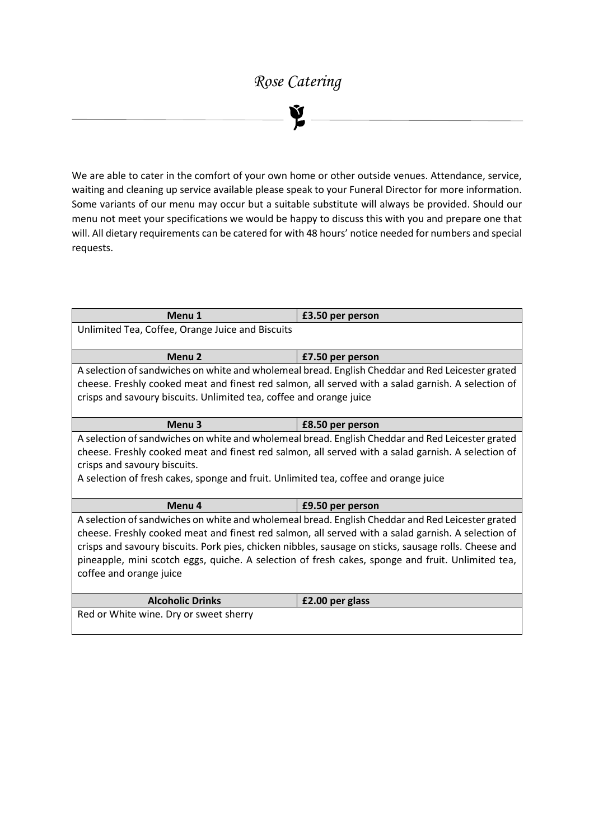# *Rose Catering*



We are able to cater in the comfort of your own home or other outside venues. Attendance, service, waiting and cleaning up service available please speak to your Funeral Director for more information. Some variants of our menu may occur but a suitable substitute will always be provided. Should our menu not meet your specifications we would be happy to discuss this with you and prepare one that will. All dietary requirements can be catered for with 48 hours' notice needed for numbers and special requests.

| Menu 1                                                                                            | £3.50 per person                                                                                      |  |  |  |
|---------------------------------------------------------------------------------------------------|-------------------------------------------------------------------------------------------------------|--|--|--|
| Unlimited Tea, Coffee, Orange Juice and Biscuits                                                  |                                                                                                       |  |  |  |
|                                                                                                   |                                                                                                       |  |  |  |
| Menu <sub>2</sub><br>£7.50 per person                                                             |                                                                                                       |  |  |  |
|                                                                                                   | A selection of sandwiches on white and wholemeal bread. English Cheddar and Red Leicester grated      |  |  |  |
|                                                                                                   | cheese. Freshly cooked meat and finest red salmon, all served with a salad garnish. A selection of    |  |  |  |
| crisps and savoury biscuits. Unlimited tea, coffee and orange juice                               |                                                                                                       |  |  |  |
|                                                                                                   |                                                                                                       |  |  |  |
| Menu <sub>3</sub><br>£8.50 per person                                                             |                                                                                                       |  |  |  |
|                                                                                                   | A selection of sandwiches on white and wholemeal bread. English Cheddar and Red Leicester grated      |  |  |  |
|                                                                                                   | cheese. Freshly cooked meat and finest red salmon, all served with a salad garnish. A selection of    |  |  |  |
| crisps and savoury biscuits.                                                                      |                                                                                                       |  |  |  |
| A selection of fresh cakes, sponge and fruit. Unlimited tea, coffee and orange juice              |                                                                                                       |  |  |  |
|                                                                                                   |                                                                                                       |  |  |  |
| Menu <sub>4</sub><br>£9.50 per person                                                             |                                                                                                       |  |  |  |
|                                                                                                   | A selection of sandwiches on white and wholemeal bread. English Cheddar and Red Leicester grated      |  |  |  |
|                                                                                                   | cheese. Freshly cooked meat and finest red salmon, all served with a salad garnish. A selection of    |  |  |  |
|                                                                                                   | crisps and savoury biscuits. Pork pies, chicken nibbles, sausage on sticks, sausage rolls. Cheese and |  |  |  |
| pineapple, mini scotch eggs, quiche. A selection of fresh cakes, sponge and fruit. Unlimited tea, |                                                                                                       |  |  |  |
| coffee and orange juice                                                                           |                                                                                                       |  |  |  |
|                                                                                                   |                                                                                                       |  |  |  |
| <b>Alcoholic Drinks</b>                                                                           | £2.00 per glass                                                                                       |  |  |  |
| Red or White wine. Dry or sweet sherry                                                            |                                                                                                       |  |  |  |
|                                                                                                   |                                                                                                       |  |  |  |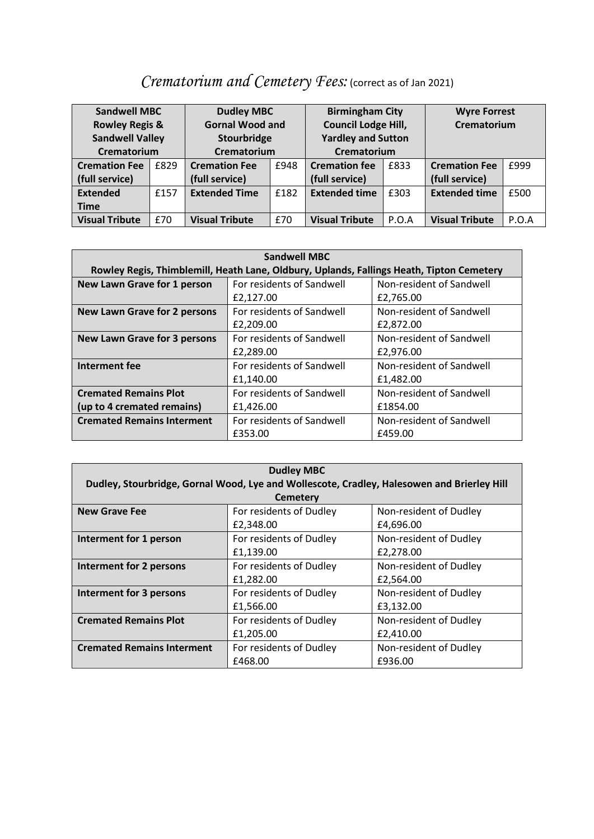# *Crematorium and Cemetery Fees:* (correct as of Jan 2021)

| <b>Sandwell MBC</b><br><b>Rowley Regis &amp;</b><br><b>Sandwell Valley</b><br>Crematorium |      | <b>Dudley MBC</b><br><b>Gornal Wood and</b><br>Stourbridge<br>Crematorium |      | <b>Birmingham City</b><br><b>Council Lodge Hill,</b><br><b>Yardley and Sutton</b><br>Crematorium |       | <b>Wyre Forrest</b><br>Crematorium |       |
|-------------------------------------------------------------------------------------------|------|---------------------------------------------------------------------------|------|--------------------------------------------------------------------------------------------------|-------|------------------------------------|-------|
| <b>Cremation Fee</b>                                                                      | £829 | <b>Cremation Fee</b>                                                      | £948 | <b>Cremation fee</b>                                                                             | £833  | <b>Cremation Fee</b>               | £999  |
| (full service)                                                                            |      | (full service)                                                            |      | (full service)                                                                                   |       | (full service)                     |       |
| <b>Extended</b>                                                                           | £157 | <b>Extended Time</b>                                                      | £182 | <b>Extended time</b>                                                                             | £303  | <b>Extended time</b>               | £500  |
| <b>Time</b>                                                                               |      |                                                                           |      |                                                                                                  |       |                                    |       |
| <b>Visual Tribute</b>                                                                     | £70  | <b>Visual Tribute</b>                                                     | £70  | <b>Visual Tribute</b>                                                                            | P.O.A | <b>Visual Tribute</b>              | P.O.A |

| <b>Sandwell MBC</b>                                                                      |                           |                          |  |  |
|------------------------------------------------------------------------------------------|---------------------------|--------------------------|--|--|
| Rowley Regis, Thimblemill, Heath Lane, Oldbury, Uplands, Fallings Heath, Tipton Cemetery |                           |                          |  |  |
| New Lawn Grave for 1 person                                                              | For residents of Sandwell | Non-resident of Sandwell |  |  |
|                                                                                          | £2,127.00                 | £2,765.00                |  |  |
| <b>New Lawn Grave for 2 persons</b>                                                      | For residents of Sandwell | Non-resident of Sandwell |  |  |
|                                                                                          | £2,209.00                 | £2,872.00                |  |  |
| <b>New Lawn Grave for 3 persons</b>                                                      | For residents of Sandwell | Non-resident of Sandwell |  |  |
|                                                                                          | £2,289.00                 | £2,976.00                |  |  |
| Interment fee                                                                            | For residents of Sandwell | Non-resident of Sandwell |  |  |
|                                                                                          | £1,140.00                 | £1,482.00                |  |  |
| <b>Cremated Remains Plot</b>                                                             | For residents of Sandwell | Non-resident of Sandwell |  |  |
| (up to 4 cremated remains)                                                               | £1,426.00                 | £1854.00                 |  |  |
| <b>Cremated Remains Interment</b>                                                        | For residents of Sandwell | Non-resident of Sandwell |  |  |
|                                                                                          | £353.00                   | £459.00                  |  |  |

| <b>Dudley MBC</b>                                                                          |                         |                        |  |  |
|--------------------------------------------------------------------------------------------|-------------------------|------------------------|--|--|
| Dudley, Stourbridge, Gornal Wood, Lye and Wollescote, Cradley, Halesowen and Brierley Hill |                         |                        |  |  |
|                                                                                            | <b>Cemetery</b>         |                        |  |  |
| <b>New Grave Fee</b>                                                                       | For residents of Dudley | Non-resident of Dudley |  |  |
|                                                                                            | £2,348.00               | £4,696.00              |  |  |
| Interment for 1 person                                                                     | For residents of Dudley | Non-resident of Dudley |  |  |
|                                                                                            | £1,139.00               | £2,278.00              |  |  |
| Interment for 2 persons                                                                    | For residents of Dudley | Non-resident of Dudley |  |  |
|                                                                                            | £1,282.00               | £2,564.00              |  |  |
| <b>Interment for 3 persons</b>                                                             | For residents of Dudley | Non-resident of Dudley |  |  |
|                                                                                            | £1,566.00               | £3,132.00              |  |  |
| <b>Cremated Remains Plot</b>                                                               | For residents of Dudley | Non-resident of Dudley |  |  |
|                                                                                            | £1,205.00               | £2,410.00              |  |  |
| <b>Cremated Remains Interment</b>                                                          | For residents of Dudley | Non-resident of Dudley |  |  |
|                                                                                            | £468.00                 | £936.00                |  |  |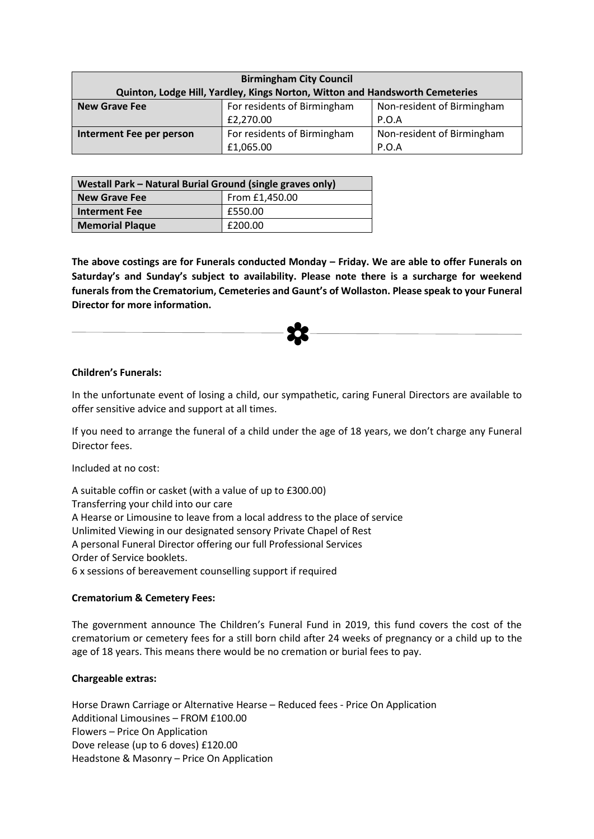| <b>Birmingham City Council</b>                                               |                             |                            |  |
|------------------------------------------------------------------------------|-----------------------------|----------------------------|--|
| Quinton, Lodge Hill, Yardley, Kings Norton, Witton and Handsworth Cemeteries |                             |                            |  |
| <b>New Grave Fee</b>                                                         | For residents of Birmingham | Non-resident of Birmingham |  |
|                                                                              | £2,270.00                   | P.O.A                      |  |
| Interment Fee per person                                                     | For residents of Birmingham | Non-resident of Birmingham |  |
|                                                                              | £1,065.00                   | P.O.A                      |  |

| Westall Park - Natural Burial Ground (single graves only) |                |  |
|-----------------------------------------------------------|----------------|--|
| <b>New Grave Fee</b>                                      | From £1,450.00 |  |
| <b>Interment Fee</b>                                      | £550.00        |  |
| <b>Memorial Plaque</b>                                    | £200.00        |  |

**The above costings are for Funerals conducted Monday – Friday. We are able to offer Funerals on Saturday's and Sunday's subject to availability. Please note there is a surcharge for weekend funerals from the Crematorium, Cemeteries and Gaunt's of Wollaston. Please speak to your Funeral Director for more information.** 

## **Children's Funerals:**

In the unfortunate event of losing a child, our sympathetic, caring Funeral Directors are available to offer sensitive advice and support at all times.

If you need to arrange the funeral of a child under the age of 18 years, we don't charge any Funeral Director fees.

Included at no cost:

A suitable coffin or casket (with a value of up to £300.00) Transferring your child into our care A Hearse or Limousine to leave from a local address to the place of service Unlimited Viewing in our designated sensory Private Chapel of Rest A personal Funeral Director offering our full Professional Services Order of Service booklets. 6 x sessions of bereavement counselling support if required

## **Crematorium & Cemetery Fees:**

The government announce The Children's Funeral Fund in 2019, this fund covers the cost of the crematorium or cemetery fees for a still born child after 24 weeks of pregnancy or a child up to the age of 18 years. This means there would be no cremation or burial fees to pay.

## **Chargeable extras:**

Horse Drawn Carriage or Alternative Hearse – Reduced fees - Price On Application Additional Limousines – FROM £100.00 Flowers – Price On Application Dove release (up to 6 doves) £120.00 Headstone & Masonry – Price On Application